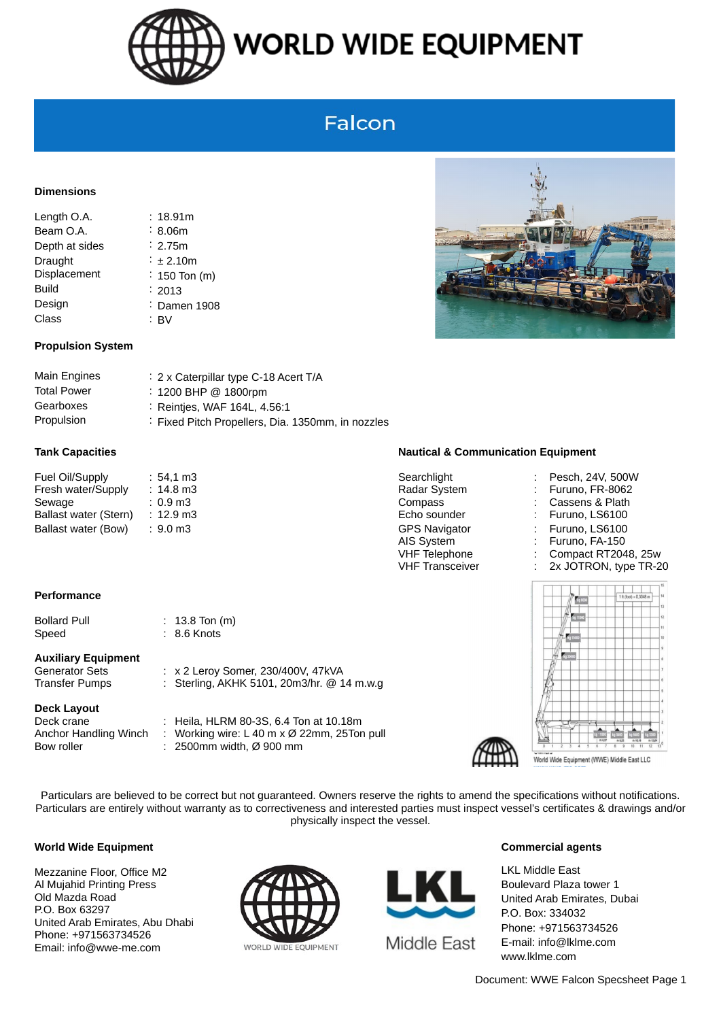

## **WORLD WIDE EQUIPMENT**

## Falcon

#### **Dimensions**

| : 18.91m            |
|---------------------|
| $\frac{1}{2}$ 8.06m |
| $\therefore$ 2.75m  |
| $\div$ ± 2.10m      |
| $\div$ 150 Ton (m)  |
| $\therefore$ 2013   |
| : Damen 1908        |
|                     |
|                     |

#### **Propulsion System**

| 2 x Caterpillar type C-18 Acert T/A               |
|---------------------------------------------------|
| $\therefore$ 1200 BHP @ 1800rpm                   |
| $\therefore$ Reintjes, WAF 164L, 4.56:1           |
| : Fixed Pitch Propellers, Dia. 1350mm, in nozzles |
|                                                   |

| Fuel Oil/Supply       | $:54.1 \text{ m}$   |
|-----------------------|---------------------|
| Fresh water/Supply    | $: 14.8 \text{ m}$  |
| Sewage                | $: 0.9 \text{ m}$   |
| Ballast water (Stern) | $: 12.9 \text{ m}$  |
| Ballast water (Bow)   | $: 9.0 \text{ m}$ 3 |

#### **Performance**

| Bollard Pull |  |
|--------------|--|
| Speed        |  |

### **Auxiliary Equipment**

#### **Deck Layout**

Bow roller : 2500mm width, Ø 900 mm

 $\therefore$  13.8 Ton (m)  $\therefore$  8.6 Knots

Generator Sets : x 2 Leroy Somer, 230/400V, 47kVA Transfer Pumps : Sterling, AKHK 5101, 20m3/hr. @ 14 m.w.g

Deck crane : Heila, HLRM 80-3S, 6.4 Ton at 10.18m Anchor Handling Winch : Working wire: L 40 m x Ø 22mm, 25Ton pull



#### **Tank Capacities Nautical & Communication Equipment**

- n3 Searchlight : Pesch, 24V, 500W Sewage : 0.9 m3 Compass : 0.9 m3 Compass : 0.9 m3 Cassens & Plath n3 Echo sounder : 12.9 m3 Echo sounder : 12.9 m3 Echo sounder : 12.9 m3 extendium n Ballast Water (Bow) is the GPS Navigator in the Furuno, LS6100 m3 and the Second CFS Navigator in the Second S AIS System : Furuno, FA-150 VHF Telephone : Compact RT2048, 25w
- n3 and the state water-stater water-state material in the state of the state material in the state material in  $R$  and  $R$  and  $R$  and  $R$  and  $R$  and  $R$  and  $R$  and  $R$  and  $R$  and  $R$  and  $R$  and  $R$  and  $R$  and  $R$  and
	-
	-
	-
	-
	- VHF Transceiver : 2x JOTRON, type TR-20





World Wide Equipment (WWE) Middle East LLC

Particulars are believed to be correct but not guaranteed. Owners reserve the rights to amend the specifications without notifications. Particulars are entirely without warranty as to correctiveness and interested parties must inspect vessel's certificates & drawings and/or physically inspect the vessel.

#### **World Wide Equipment**

Mezzanine Floor, Office M2 Al Mujahid Printing Press Old Mazda Road P.O. Box 63297 United Arab Emirates, Abu Dhabi Phone: +971563734526 Email: info@wwe-me.com





#### **Commercial agents**

LKL Middle East Boulevard Plaza tower 1 United Arab Emirates, Dubai P.O. Box: 334032 Phone: +971563734526 E-mail: info@lklme.com www.lklme.com

Document: WWE Falcon Specsheet Page 1